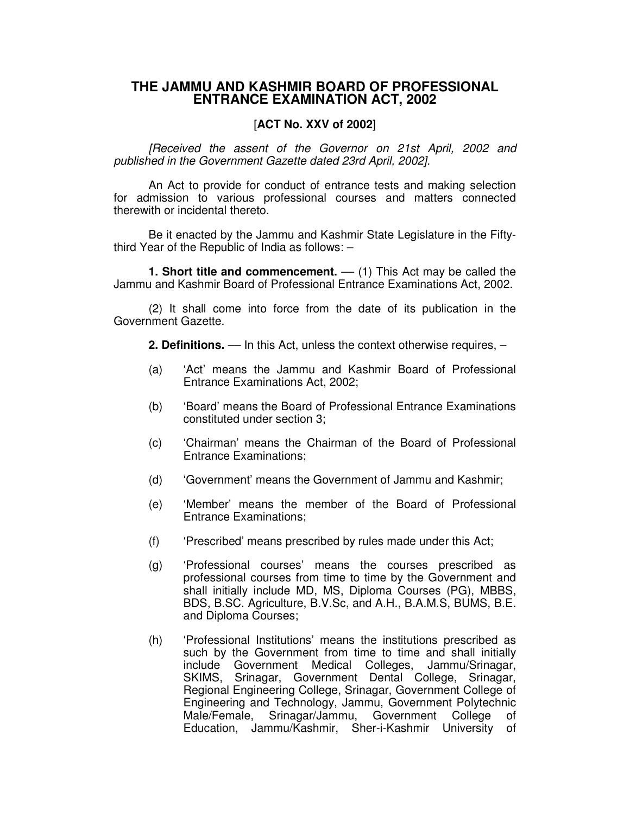## **THE JAMMU AND KASHMIR BOARD OF PROFESSIONAL ENTRANCE EXAMINATION ACT, 2002**

## [**ACT No. XXV of 2002**]

*[Received the assent of the Governor on 21st April, 2002 and published in the Government Gazette dated 23rd April, 2002].*

An Act to provide for conduct of entrance tests and making selection for admission to various professional courses and matters connected therewith or incidental thereto.

Be it enacted by the Jammu and Kashmir State Legislature in the Fiftythird Year of the Republic of India as follows: –

**1. Short title and commencement.** –– (1) This Act may be called the Jammu and Kashmir Board of Professional Entrance Examinations Act, 2002.

(2) It shall come into force from the date of its publication in the Government Gazette.

**2. Definitions.** –– In this Act, unless the context otherwise requires, –

- (a) 'Act' means the Jammu and Kashmir Board of Professional Entrance Examinations Act, 2002;
- (b) 'Board' means the Board of Professional Entrance Examinations constituted under section 3;
- (c) 'Chairman' means the Chairman of the Board of Professional Entrance Examinations;
- (d) 'Government' means the Government of Jammu and Kashmir;
- (e) 'Member' means the member of the Board of Professional Entrance Examinations;
- (f) 'Prescribed' means prescribed by rules made under this Act;
- (g) 'Professional courses' means the courses prescribed as professional courses from time to time by the Government and shall initially include MD, MS, Diploma Courses (PG), MBBS, BDS, B.SC. Agriculture, B.V.Sc, and A.H., B.A.M.S, BUMS, B.E. and Diploma Courses;
- (h) 'Professional Institutions' means the institutions prescribed as such by the Government from time to time and shall initially include Government Medical Colleges, Jammu/Srinagar, SKIMS, Srinagar, Government Dental College, Srinagar, Regional Engineering College, Srinagar, Government College of Engineering and Technology, Jammu, Government Polytechnic Male/Female, Srinagar/Jammu, Government College of Education, Jammu/Kashmir, Sher-i-Kashmir University of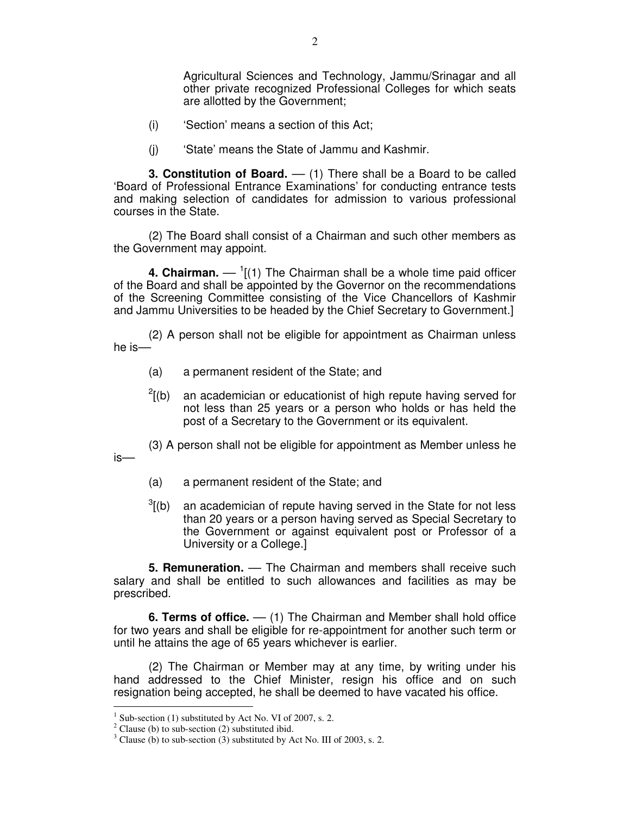Agricultural Sciences and Technology, Jammu/Srinagar and all other private recognized Professional Colleges for which seats are allotted by the Government;

- (i) 'Section' means a section of this Act;
- (j) 'State' means the State of Jammu and Kashmir.

**3. Constitution of Board.** –– (1) There shall be a Board to be called 'Board of Professional Entrance Examinations' for conducting entrance tests and making selection of candidates for admission to various professional courses in the State.

(2) The Board shall consist of a Chairman and such other members as the Government may appoint.

**4. Chairman.** — <sup>1</sup>[(1) The Chairman shall be a whole time paid officer of the Board and shall be appointed by the Governor on the recommendations of the Screening Committee consisting of the Vice Chancellors of Kashmir and Jammu Universities to be headed by the Chief Secretary to Government.]

(2) A person shall not be eligible for appointment as Chairman unless he is––

- (a) a permanent resident of the State; and
- $^{2}$ [(b) an academician or educationist of high repute having served for not less than 25 years or a person who holds or has held the post of a Secretary to the Government or its equivalent.
- (3) A person shall not be eligible for appointment as Member unless he
- (a) a permanent resident of the State; and
- $3$ [(b) an academician of repute having served in the State for not less than 20 years or a person having served as Special Secretary to the Government or against equivalent post or Professor of a University or a College.]

**5. Remuneration.** –– The Chairman and members shall receive such salary and shall be entitled to such allowances and facilities as may be prescribed.

**6. Terms of office.** –– (1) The Chairman and Member shall hold office for two years and shall be eligible for re-appointment for another such term or until he attains the age of 65 years whichever is earlier.

(2) The Chairman or Member may at any time, by writing under his hand addressed to the Chief Minister, resign his office and on such resignation being accepted, he shall be deemed to have vacated his office.

is––

 $1$  Sub-section (1) substituted by Act No. VI of 2007, s. 2.

 $2$  Clause (b) to sub-section (2) substituted ibid.

 $3$  Clause (b) to sub-section (3) substituted by Act No. III of 2003, s. 2.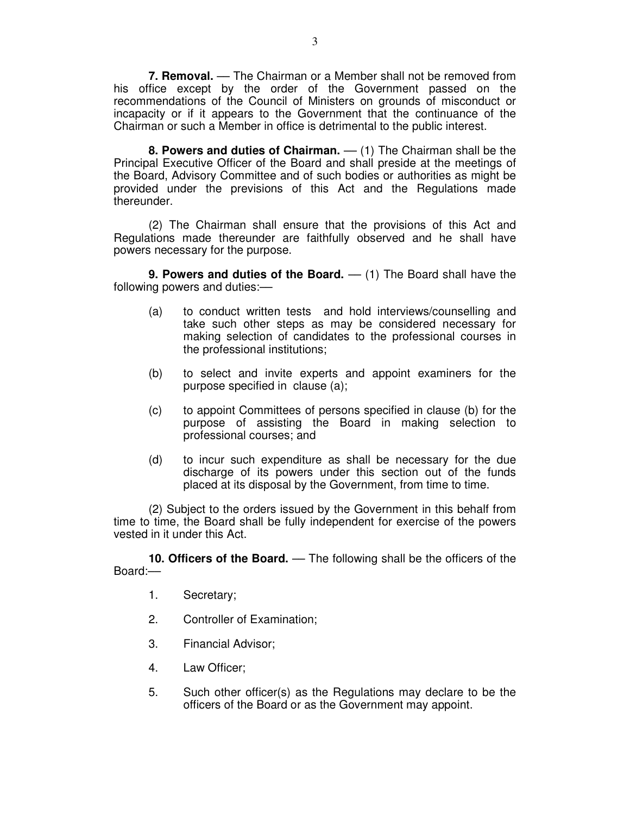**7. Removal.** –– The Chairman or a Member shall not be removed from his office except by the order of the Government passed on the recommendations of the Council of Ministers on grounds of misconduct or incapacity or if it appears to the Government that the continuance of the Chairman or such a Member in office is detrimental to the public interest.

**8. Powers and duties of Chairman.** –– (1) The Chairman shall be the Principal Executive Officer of the Board and shall preside at the meetings of the Board, Advisory Committee and of such bodies or authorities as might be provided under the previsions of this Act and the Regulations made thereunder.

(2) The Chairman shall ensure that the provisions of this Act and Regulations made thereunder are faithfully observed and he shall have powers necessary for the purpose.

**9. Powers and duties of the Board.** –– (1) The Board shall have the following powers and duties:—

- (a) to conduct written tests and hold interviews/counselling and take such other steps as may be considered necessary for making selection of candidates to the professional courses in the professional institutions;
- (b) to select and invite experts and appoint examiners for the purpose specified in clause (a);
- (c) to appoint Committees of persons specified in clause (b) for the purpose of assisting the Board in making selection to professional courses; and
- (d) to incur such expenditure as shall be necessary for the due discharge of its powers under this section out of the funds placed at its disposal by the Government, from time to time.

(2) Subject to the orders issued by the Government in this behalf from time to time, the Board shall be fully independent for exercise of the powers vested in it under this Act.

**10. Officers of the Board.** –– The following shall be the officers of the Board:––

- 1. Secretary;
- 2. Controller of Examination;
- 3. Financial Advisor;
- 4. Law Officer;
- 5. Such other officer(s) as the Regulations may declare to be the officers of the Board or as the Government may appoint.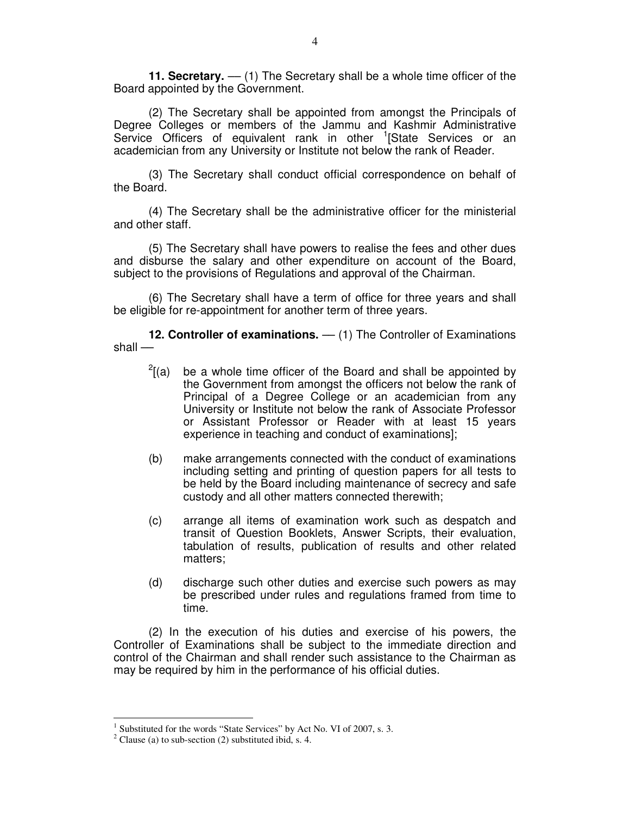**11. Secretary.** –– (1) The Secretary shall be a whole time officer of the Board appointed by the Government.

(2) The Secretary shall be appointed from amongst the Principals of Degree Colleges or members of the Jammu and Kashmir Administrative Service Officers of equivalent rank in other <sup>1</sup>[State Services or an academician from any University or Institute not below the rank of Reader.

(3) The Secretary shall conduct official correspondence on behalf of the Board.

(4) The Secretary shall be the administrative officer for the ministerial and other staff.

(5) The Secretary shall have powers to realise the fees and other dues and disburse the salary and other expenditure on account of the Board, subject to the provisions of Regulations and approval of the Chairman.

(6) The Secretary shall have a term of office for three years and shall be eligible for re-appointment for another term of three years.

**12. Controller of examinations.** — (1) The Controller of Examinations shall ––

- $^{2}$ [(a) be a whole time officer of the Board and shall be appointed by the Government from amongst the officers not below the rank of Principal of a Degree College or an academician from any University or Institute not below the rank of Associate Professor or Assistant Professor or Reader with at least 15 years experience in teaching and conduct of examinations];
- (b) make arrangements connected with the conduct of examinations including setting and printing of question papers for all tests to be held by the Board including maintenance of secrecy and safe custody and all other matters connected therewith;
- (c) arrange all items of examination work such as despatch and transit of Question Booklets, Answer Scripts, their evaluation, tabulation of results, publication of results and other related matters;
- (d) discharge such other duties and exercise such powers as may be prescribed under rules and regulations framed from time to time.

(2) In the execution of his duties and exercise of his powers, the Controller of Examinations shall be subject to the immediate direction and control of the Chairman and shall render such assistance to the Chairman as may be required by him in the performance of his official duties.

<sup>1</sup> Substituted for the words "State Services" by Act No. VI of 2007, s. 3.

 $2$  Clause (a) to sub-section (2) substituted ibid, s. 4.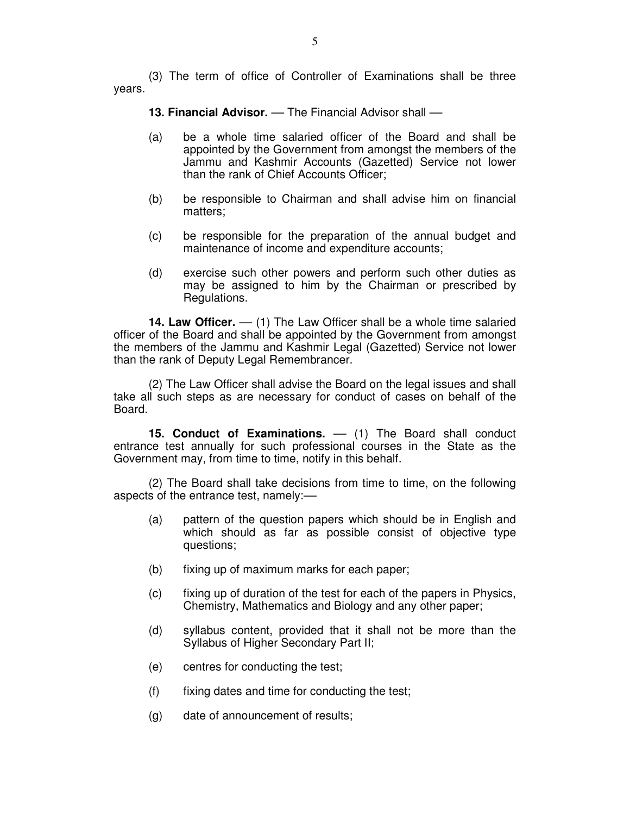(3) The term of office of Controller of Examinations shall be three years.

**13. Financial Advisor.** –– The Financial Advisor shall ––

- (a) be a whole time salaried officer of the Board and shall be appointed by the Government from amongst the members of the Jammu and Kashmir Accounts (Gazetted) Service not lower than the rank of Chief Accounts Officer;
- (b) be responsible to Chairman and shall advise him on financial matters;
- (c) be responsible for the preparation of the annual budget and maintenance of income and expenditure accounts;
- (d) exercise such other powers and perform such other duties as may be assigned to him by the Chairman or prescribed by Regulations.

**14. Law Officer.** — (1) The Law Officer shall be a whole time salaried officer of the Board and shall be appointed by the Government from amongst the members of the Jammu and Kashmir Legal (Gazetted) Service not lower than the rank of Deputy Legal Remembrancer.

(2) The Law Officer shall advise the Board on the legal issues and shall take all such steps as are necessary for conduct of cases on behalf of the Board.

**15. Conduct of Examinations.** –– (1) The Board shall conduct entrance test annually for such professional courses in the State as the Government may, from time to time, notify in this behalf.

(2) The Board shall take decisions from time to time, on the following aspects of the entrance test, namely:––

- (a) pattern of the question papers which should be in English and which should as far as possible consist of objective type questions;
- (b) fixing up of maximum marks for each paper;
- (c) fixing up of duration of the test for each of the papers in Physics, Chemistry, Mathematics and Biology and any other paper;
- (d) syllabus content, provided that it shall not be more than the Syllabus of Higher Secondary Part II;
- (e) centres for conducting the test;
- (f) fixing dates and time for conducting the test;
- (g) date of announcement of results;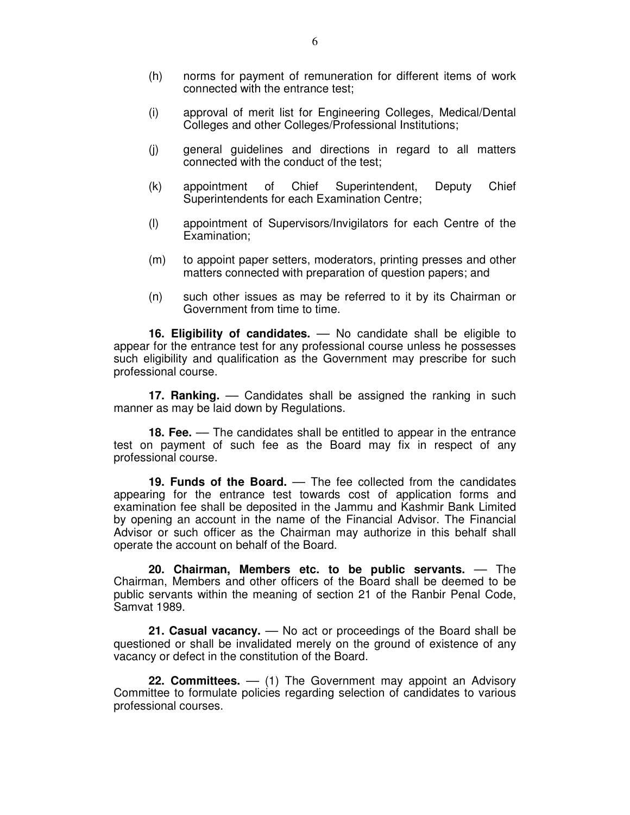- (h) norms for payment of remuneration for different items of work connected with the entrance test;
- (i) approval of merit list for Engineering Colleges, Medical/Dental Colleges and other Colleges/Professional Institutions;
- (j) general guidelines and directions in regard to all matters connected with the conduct of the test;
- (k) appointment of Chief Superintendent, Deputy Chief Superintendents for each Examination Centre;
- (l) appointment of Supervisors/Invigilators for each Centre of the Examination;
- (m) to appoint paper setters, moderators, printing presses and other matters connected with preparation of question papers; and
- (n) such other issues as may be referred to it by its Chairman or Government from time to time.

**16. Eligibility of candidates.** –– No candidate shall be eligible to appear for the entrance test for any professional course unless he possesses such eligibility and qualification as the Government may prescribe for such professional course.

**17. Ranking.** — Candidates shall be assigned the ranking in such manner as may be laid down by Regulations.

**18. Fee.** –– The candidates shall be entitled to appear in the entrance test on payment of such fee as the Board may fix in respect of any professional course.

**19. Funds of the Board.** –– The fee collected from the candidates appearing for the entrance test towards cost of application forms and examination fee shall be deposited in the Jammu and Kashmir Bank Limited by opening an account in the name of the Financial Advisor. The Financial Advisor or such officer as the Chairman may authorize in this behalf shall operate the account on behalf of the Board.

**20. Chairman, Members etc. to be public servants.** –– The Chairman, Members and other officers of the Board shall be deemed to be public servants within the meaning of section 21 of the Ranbir Penal Code, Samvat 1989.

**21. Casual vacancy.** –– No act or proceedings of the Board shall be questioned or shall be invalidated merely on the ground of existence of any vacancy or defect in the constitution of the Board.

**22. Committees.** –– (1) The Government may appoint an Advisory Committee to formulate policies regarding selection of candidates to various professional courses.